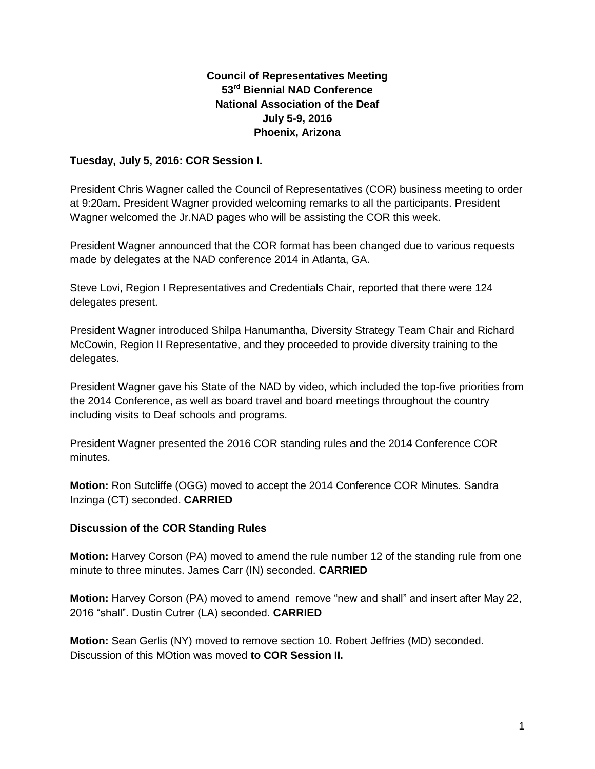# **Council of Representatives Meeting 53rd Biennial NAD Conference National Association of the Deaf July 5-9, 2016 Phoenix, Arizona**

#### **Tuesday, July 5, 2016: COR Session I.**

President Chris Wagner called the Council of Representatives (COR) business meeting to order at 9:20am. President Wagner provided welcoming remarks to all the participants. President Wagner welcomed the Jr.NAD pages who will be assisting the COR this week.

President Wagner announced that the COR format has been changed due to various requests made by delegates at the NAD conference 2014 in Atlanta, GA.

Steve Lovi, Region I Representatives and Credentials Chair, reported that there were 124 delegates present.

President Wagner introduced Shilpa Hanumantha, Diversity Strategy Team Chair and Richard McCowin, Region II Representative, and they proceeded to provide diversity training to the delegates.

President Wagner gave his State of the NAD by video, which included the top-five priorities from the 2014 Conference, as well as board travel and board meetings throughout the country including visits to Deaf schools and programs.

President Wagner presented the 2016 COR standing rules and the 2014 Conference COR minutes.

**Motion:** Ron Sutcliffe (OGG) moved to accept the 2014 Conference COR Minutes. Sandra Inzinga (CT) seconded. **CARRIED**

#### **Discussion of the COR Standing Rules**

**Motion:** Harvey Corson (PA) moved to amend the rule number 12 of the standing rule from one minute to three minutes. James Carr (IN) seconded. **CARRIED**

**Motion:** Harvey Corson (PA) moved to amend remove "new and shall" and insert after May 22, 2016 "shall". Dustin Cutrer (LA) seconded. **CARRIED**

**Motion:** Sean Gerlis (NY) moved to remove section 10. Robert Jeffries (MD) seconded. Discussion of this MOtion was moved **to COR Session II.**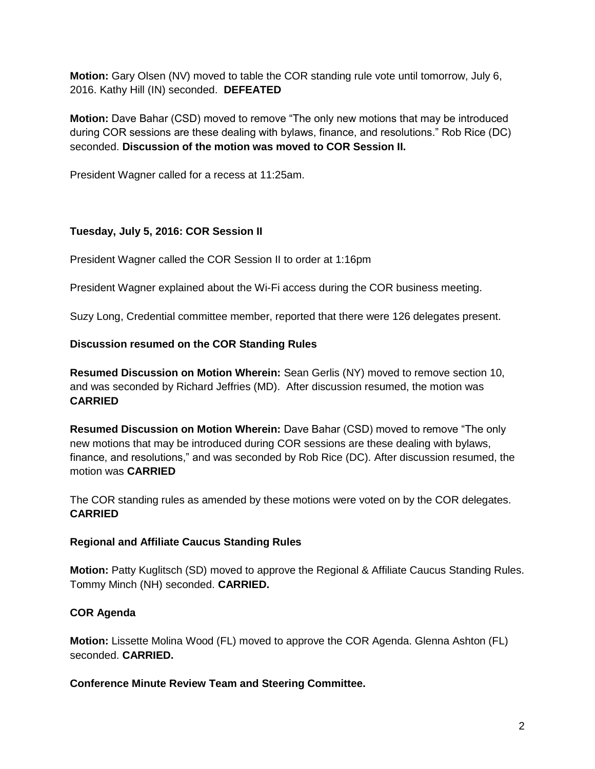**Motion:** Gary Olsen (NV) moved to table the COR standing rule vote until tomorrow, July 6, 2016. Kathy Hill (IN) seconded. **DEFEATED**

**Motion:** Dave Bahar (CSD) moved to remove "The only new motions that may be introduced during COR sessions are these dealing with bylaws, finance, and resolutions." Rob Rice (DC) seconded. **Discussion of the motion was moved to COR Session II.**

President Wagner called for a recess at 11:25am.

# **Tuesday, July 5, 2016: COR Session II**

President Wagner called the COR Session II to order at 1:16pm

President Wagner explained about the Wi-Fi access during the COR business meeting.

Suzy Long, Credential committee member, reported that there were 126 delegates present.

#### **Discussion resumed on the COR Standing Rules**

**Resumed Discussion on Motion Wherein:** Sean Gerlis (NY) moved to remove section 10, and was seconded by Richard Jeffries (MD). After discussion resumed, the motion was **CARRIED**

**Resumed Discussion on Motion Wherein:** Dave Bahar (CSD) moved to remove "The only new motions that may be introduced during COR sessions are these dealing with bylaws, finance, and resolutions," and was seconded by Rob Rice (DC). After discussion resumed, the motion was **CARRIED**

The COR standing rules as amended by these motions were voted on by the COR delegates. **CARRIED**

# **Regional and Affiliate Caucus Standing Rules**

**Motion: Patty Kuglitsch (SD) moved to approve the Regional & Affiliate Caucus Standing Rules.** Tommy Minch (NH) seconded. **CARRIED.**

# **COR Agenda**

**Motion:** Lissette Molina Wood (FL) moved to approve the COR Agenda. Glenna Ashton (FL) seconded. **CARRIED.**

# **Conference Minute Review Team and Steering Committee.**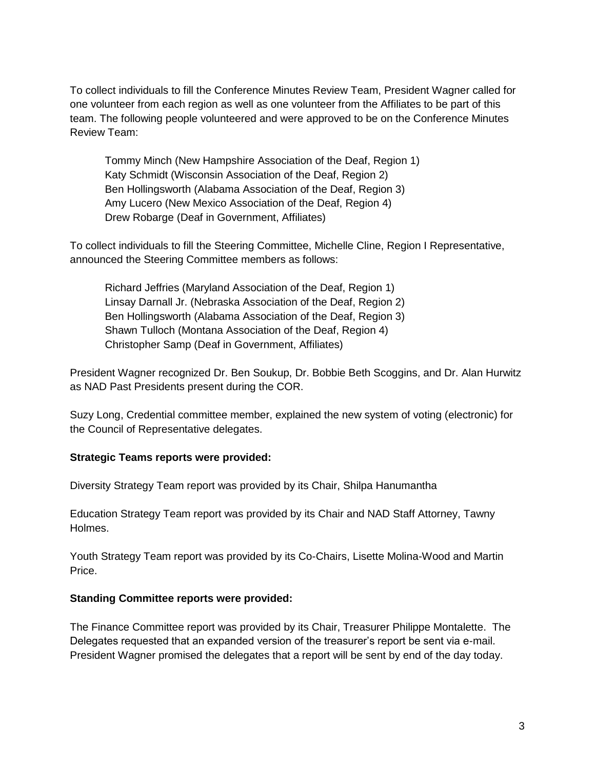To collect individuals to fill the Conference Minutes Review Team, President Wagner called for one volunteer from each region as well as one volunteer from the Affiliates to be part of this team. The following people volunteered and were approved to be on the Conference Minutes Review Team:

Tommy Minch (New Hampshire Association of the Deaf, Region 1) Katy Schmidt (Wisconsin Association of the Deaf, Region 2) Ben Hollingsworth (Alabama Association of the Deaf, Region 3) Amy Lucero (New Mexico Association of the Deaf, Region 4) Drew Robarge (Deaf in Government, Affiliates)

To collect individuals to fill the Steering Committee, Michelle Cline, Region I Representative, announced the Steering Committee members as follows:

Richard Jeffries (Maryland Association of the Deaf, Region 1) Linsay Darnall Jr. (Nebraska Association of the Deaf, Region 2) Ben Hollingsworth (Alabama Association of the Deaf, Region 3) Shawn Tulloch (Montana Association of the Deaf, Region 4) Christopher Samp (Deaf in Government, Affiliates)

President Wagner recognized Dr. Ben Soukup, Dr. Bobbie Beth Scoggins, and Dr. Alan Hurwitz as NAD Past Presidents present during the COR.

Suzy Long, Credential committee member, explained the new system of voting (electronic) for the Council of Representative delegates.

# **Strategic Teams reports were provided:**

Diversity Strategy Team report was provided by its Chair, Shilpa Hanumantha

Education Strategy Team report was provided by its Chair and NAD Staff Attorney, Tawny Holmes.

Youth Strategy Team report was provided by its Co-Chairs, Lisette Molina-Wood and Martin Price.

#### **Standing Committee reports were provided:**

The Finance Committee report was provided by its Chair, Treasurer Philippe Montalette. The Delegates requested that an expanded version of the treasurer's report be sent via e-mail. President Wagner promised the delegates that a report will be sent by end of the day today.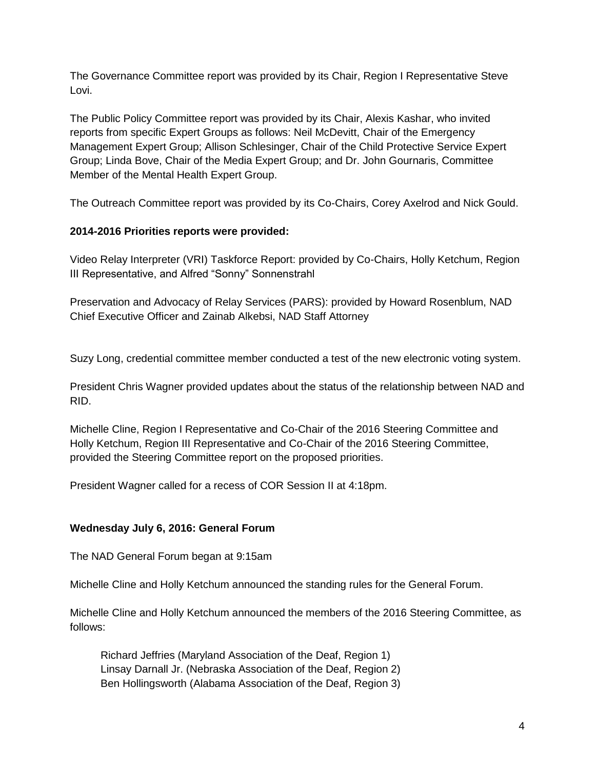The Governance Committee report was provided by its Chair, Region I Representative Steve Lovi.

The Public Policy Committee report was provided by its Chair, Alexis Kashar, who invited reports from specific Expert Groups as follows: Neil McDevitt, Chair of the Emergency Management Expert Group; Allison Schlesinger, Chair of the Child Protective Service Expert Group; Linda Bove, Chair of the Media Expert Group; and Dr. John Gournaris, Committee Member of the Mental Health Expert Group.

The Outreach Committee report was provided by its Co-Chairs, Corey Axelrod and Nick Gould.

#### **2014-2016 Priorities reports were provided:**

Video Relay Interpreter (VRI) Taskforce Report: provided by Co-Chairs, Holly Ketchum, Region III Representative, and Alfred "Sonny" Sonnenstrahl

Preservation and Advocacy of Relay Services (PARS): provided by Howard Rosenblum, NAD Chief Executive Officer and Zainab Alkebsi, NAD Staff Attorney

Suzy Long, credential committee member conducted a test of the new electronic voting system.

President Chris Wagner provided updates about the status of the relationship between NAD and RID.

Michelle Cline, Region I Representative and Co-Chair of the 2016 Steering Committee and Holly Ketchum, Region III Representative and Co-Chair of the 2016 Steering Committee, provided the Steering Committee report on the proposed priorities.

President Wagner called for a recess of COR Session II at 4:18pm.

# **Wednesday July 6, 2016: General Forum**

The NAD General Forum began at 9:15am

Michelle Cline and Holly Ketchum announced the standing rules for the General Forum.

Michelle Cline and Holly Ketchum announced the members of the 2016 Steering Committee, as follows:

Richard Jeffries (Maryland Association of the Deaf, Region 1) Linsay Darnall Jr. (Nebraska Association of the Deaf, Region 2) Ben Hollingsworth (Alabama Association of the Deaf, Region 3)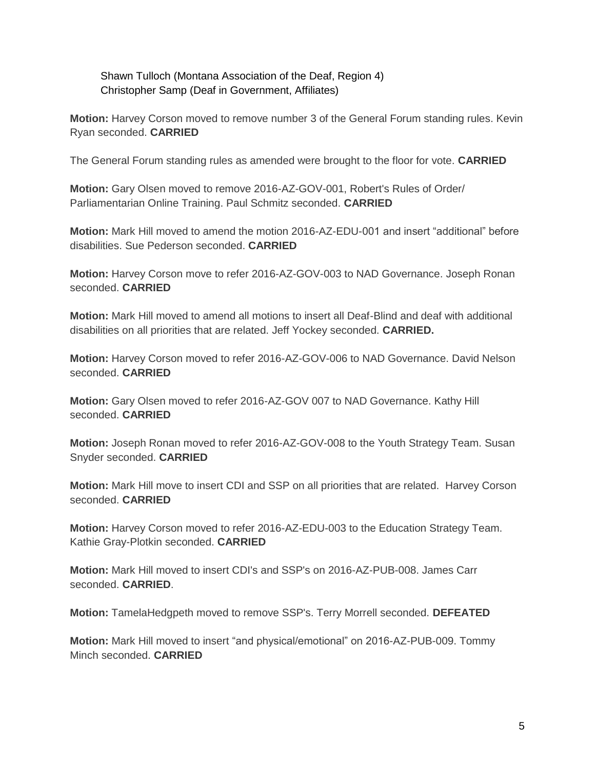Shawn Tulloch (Montana Association of the Deaf, Region 4) Christopher Samp (Deaf in Government, Affiliates)

**Motion:** Harvey Corson moved to remove number 3 of the General Forum standing rules. Kevin Ryan seconded. **CARRIED**

The General Forum standing rules as amended were brought to the floor for vote. **CARRIED**

**Motion:** Gary Olsen moved to remove 2016-AZ-GOV-001, Robert's Rules of Order/ Parliamentarian Online Training. Paul Schmitz seconded. **CARRIED**

**Motion:** Mark Hill moved to amend the motion 2016-AZ-EDU-001 and insert "additional" before disabilities. Sue Pederson seconded. **CARRIED**

**Motion:** Harvey Corson move to refer 2016-AZ-GOV-003 to NAD Governance. Joseph Ronan seconded. **CARRIED**

**Motion:** Mark Hill moved to amend all motions to insert all Deaf-Blind and deaf with additional disabilities on all priorities that are related. Jeff Yockey seconded. **CARRIED.**

**Motion:** Harvey Corson moved to refer 2016-AZ-GOV-006 to NAD Governance. David Nelson seconded. **CARRIED**

**Motion:** Gary Olsen moved to refer 2016-AZ-GOV 007 to NAD Governance. Kathy Hill seconded. **CARRIED**

**Motion:** Joseph Ronan moved to refer 2016-AZ-GOV-008 to the Youth Strategy Team. Susan Snyder seconded. **CARRIED**

**Motion:** Mark Hill move to insert CDI and SSP on all priorities that are related. Harvey Corson seconded. **CARRIED**

**Motion:** Harvey Corson moved to refer 2016-AZ-EDU-003 to the Education Strategy Team. Kathie Gray-Plotkin seconded. **CARRIED**

**Motion:** Mark Hill moved to insert CDI's and SSP's on 2016-AZ-PUB-008. James Carr seconded. **CARRIED**.

**Motion:** TamelaHedgpeth moved to remove SSP's. Terry Morrell seconded. **DEFEATED**

**Motion:** Mark Hill moved to insert "and physical/emotional" on 2016-AZ-PUB-009. Tommy Minch seconded. **CARRIED**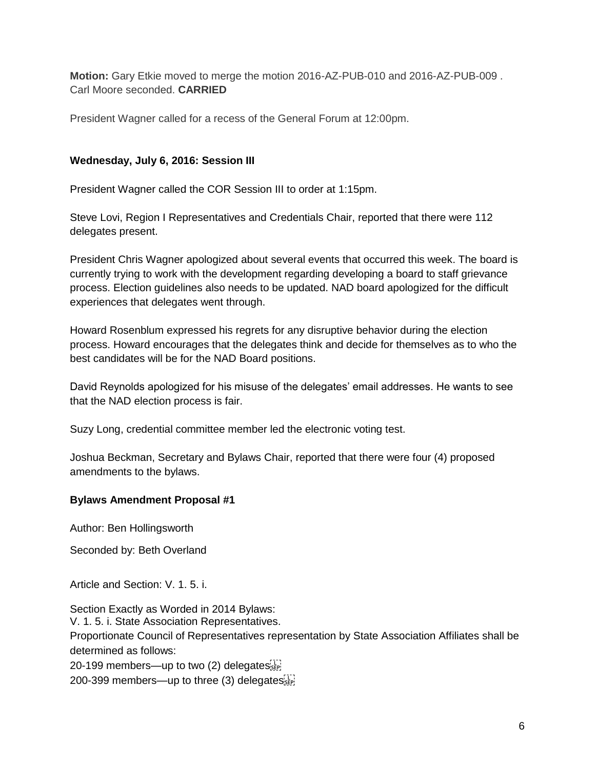**Motion:** Gary Etkie moved to merge the motion 2016-AZ-PUB-010 and 2016-AZ-PUB-009 . Carl Moore seconded. **CARRIED**

President Wagner called for a recess of the General Forum at 12:00pm.

#### **Wednesday, July 6, 2016: Session III**

President Wagner called the COR Session III to order at 1:15pm.

Steve Lovi, Region I Representatives and Credentials Chair, reported that there were 112 delegates present.

President Chris Wagner apologized about several events that occurred this week. The board is currently trying to work with the development regarding developing a board to staff grievance process. Election guidelines also needs to be updated. NAD board apologized for the difficult experiences that delegates went through.

Howard Rosenblum expressed his regrets for any disruptive behavior during the election process. Howard encourages that the delegates think and decide for themselves as to who the best candidates will be for the NAD Board positions.

David Reynolds apologized for his misuse of the delegates' email addresses. He wants to see that the NAD election process is fair.

Suzy Long, credential committee member led the electronic voting test.

Joshua Beckman, Secretary and Bylaws Chair, reported that there were four (4) proposed amendments to the bylaws.

# **Bylaws Amendment Proposal #1**

Author: Ben Hollingsworth

Seconded by: Beth Overland

Article and Section: V. 1. 5. i.

Section Exactly as Worded in 2014 Bylaws: V. 1. 5. i. State Association Representatives.

Proportionate Council of Representatives representation by State Association Affiliates shall be determined as follows:

20-199 members—up to two  $(2)$  delegates  $55$ 

200-399 members—up to three (3) delegates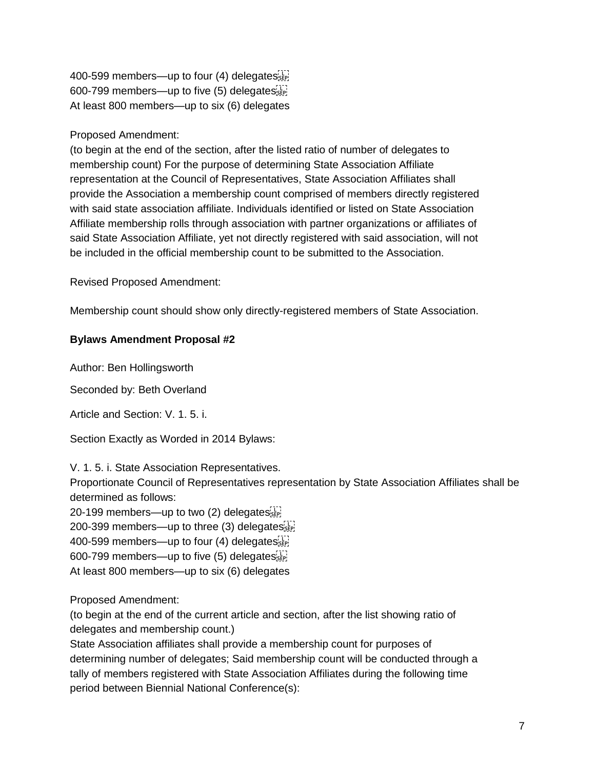400-599 members—up to four (4) delegates 600-799 members—up to five (5) delegates At least 800 members—up to six (6) delegates

# Proposed Amendment:

(to begin at the end of the section, after the listed ratio of number of delegates to membership count) For the purpose of determining State Association Affiliate representation at the Council of Representatives, State Association Affiliates shall provide the Association a membership count comprised of members directly registered with said state association affiliate. Individuals identified or listed on State Association Affiliate membership rolls through association with partner organizations or affiliates of said State Association Affiliate, yet not directly registered with said association, will not be included in the official membership count to be submitted to the Association.

Revised Proposed Amendment:

Membership count should show only directly-registered members of State Association.

# **Bylaws Amendment Proposal #2**

Author: Ben Hollingsworth

Seconded by: Beth Overland

Article and Section: V. 1. 5. i.

Section Exactly as Worded in 2014 Bylaws:

V. 1. 5. i. State Association Representatives.

Proportionate Council of Representatives representation by State Association Affiliates shall be determined as follows:

20-199 members—up to two (2) delegates 200-399 members—up to three (3) delegates<sup>[1]</sup> 400-599 members—up to four (4) delegates 600-799 members—up to five (5) delegates At least 800 members—up to six (6) delegates

Proposed Amendment:

(to begin at the end of the current article and section, after the list showing ratio of delegates and membership count.)

State Association affiliates shall provide a membership count for purposes of determining number of delegates; Said membership count will be conducted through a tally of members registered with State Association Affiliates during the following time period between Biennial National Conference(s):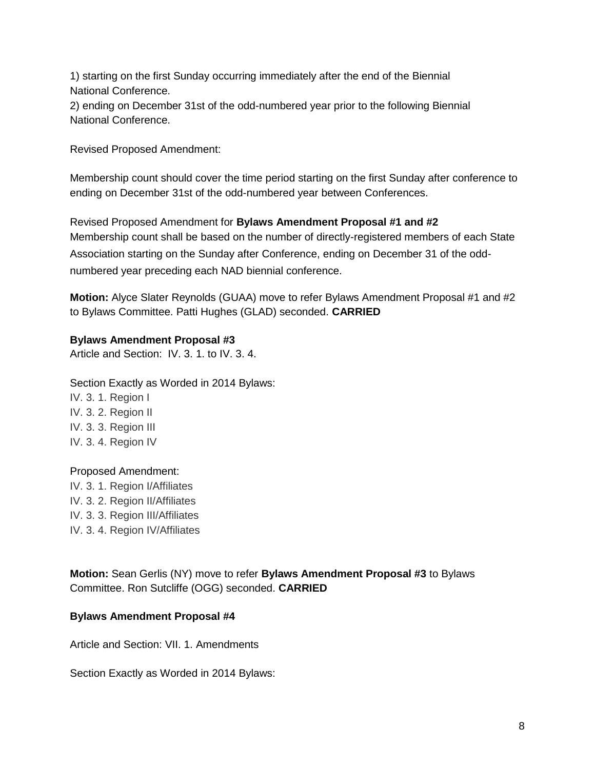1) starting on the first Sunday occurring immediately after the end of the Biennial National Conference.

2) ending on December 31st of the odd-numbered year prior to the following Biennial National Conference.

Revised Proposed Amendment:

Membership count should cover the time period starting on the first Sunday after conference to ending on December 31st of the odd-numbered year between Conferences.

Revised Proposed Amendment for **Bylaws Amendment Proposal #1 and #2** Membership count shall be based on the number of directly-registered members of each State Association starting on the Sunday after Conference, ending on December 31 of the oddnumbered year preceding each NAD biennial conference.

**Motion:** Alyce Slater Reynolds (GUAA) move to refer Bylaws Amendment Proposal #1 and #2 to Bylaws Committee. Patti Hughes (GLAD) seconded. **CARRIED**

# **Bylaws Amendment Proposal #3**

Article and Section: IV. 3. 1. to IV. 3. 4.

Section Exactly as Worded in 2014 Bylaws:

IV. 3. 1. Region I IV. 3. 2. Region II IV. 3. 3. Region III IV. 3. 4. Region IV

# Proposed Amendment:

IV. 3. 1. Region I/Affiliates IV. 3. 2. Region II/Affiliates IV. 3. 3. Region III/Affiliates IV. 3. 4. Region IV/Affiliates

**Motion:** Sean Gerlis (NY) move to refer **Bylaws Amendment Proposal #3** to Bylaws Committee. Ron Sutcliffe (OGG) seconded. **CARRIED**

# **Bylaws Amendment Proposal #4**

Article and Section: VII. 1. Amendments

Section Exactly as Worded in 2014 Bylaws: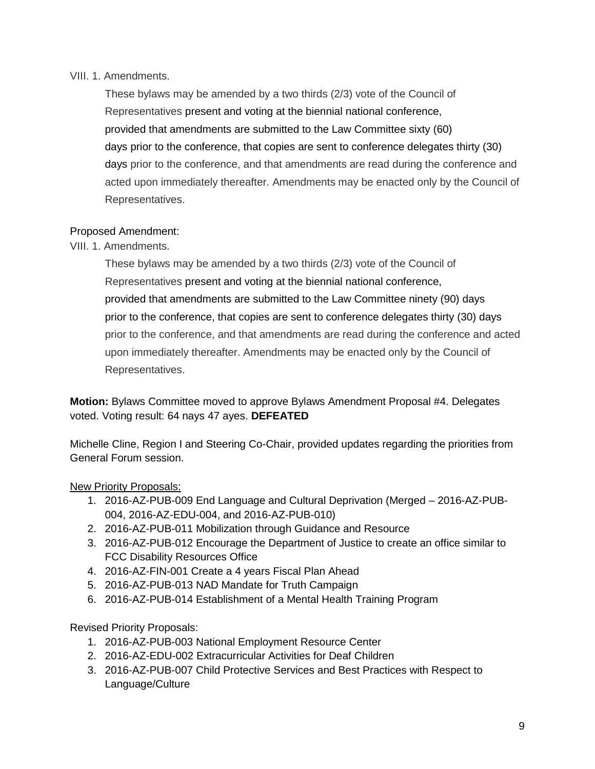#### VIII. 1. Amendments.

These bylaws may be amended by a two thirds (2/3) vote of the Council of Representatives present and voting at the biennial national conference, provided that amendments are submitted to the Law Committee sixty (60) days prior to the conference, that copies are sent to conference delegates thirty (30) days prior to the conference, and that amendments are read during the conference and acted upon immediately thereafter. Amendments may be enacted only by the Council of Representatives.

# Proposed Amendment:

VIII. 1. Amendments.

These bylaws may be amended by a two thirds (2/3) vote of the Council of Representatives present and voting at the biennial national conference, provided that amendments are submitted to the Law Committee ninety (90) days prior to the conference, that copies are sent to conference delegates thirty (30) days prior to the conference, and that amendments are read during the conference and acted upon immediately thereafter. Amendments may be enacted only by the Council of Representatives.

**Motion:** Bylaws Committee moved to approve Bylaws Amendment Proposal #4. Delegates voted. Voting result: 64 nays 47 ayes. **DEFEATED**

Michelle Cline, Region I and Steering Co-Chair, provided updates regarding the priorities from General Forum session.

#### New Priority Proposals:

- 1. 2016-AZ-PUB-009 End Language and Cultural Deprivation (Merged 2016-AZ-PUB-004, 2016-AZ-EDU-004, and 2016-AZ-PUB-010)
- 2. 2016-AZ-PUB-011 Mobilization through Guidance and Resource
- 3. 2016-AZ-PUB-012 Encourage the Department of Justice to create an office similar to FCC Disability Resources Office
- 4. 2016-AZ-FIN-001 Create a 4 years Fiscal Plan Ahead
- 5. 2016-AZ-PUB-013 NAD Mandate for Truth Campaign
- 6. 2016-AZ-PUB-014 Establishment of a Mental Health Training Program

# Revised Priority Proposals:

- 1. 2016-AZ-PUB-003 National Employment Resource Center
- 2. 2016-AZ-EDU-002 Extracurricular Activities for Deaf Children
- 3. 2016-AZ-PUB-007 Child Protective Services and Best Practices with Respect to Language/Culture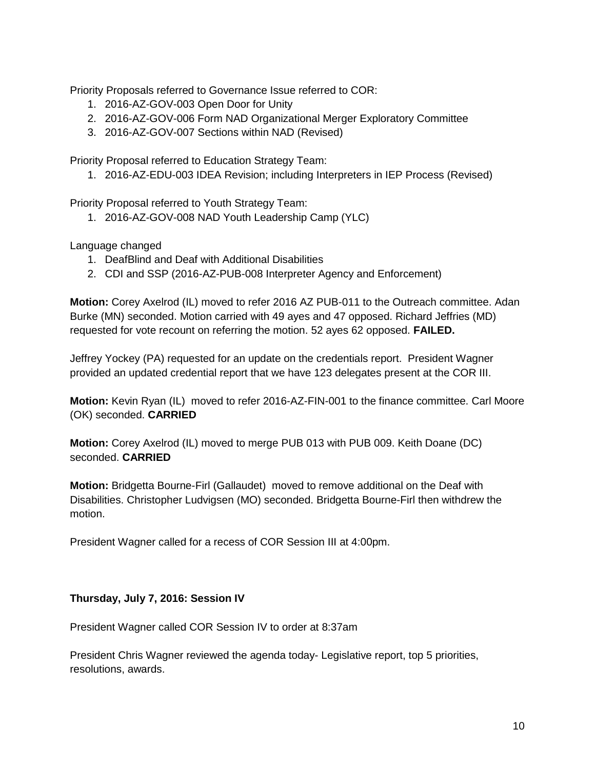Priority Proposals referred to Governance Issue referred to COR:

- 1. 2016-AZ-GOV-003 Open Door for Unity
- 2. 2016-AZ-GOV-006 Form NAD Organizational Merger Exploratory Committee
- 3. 2016-AZ-GOV-007 Sections within NAD (Revised)

Priority Proposal referred to Education Strategy Team:

1. 2016-AZ-EDU-003 IDEA Revision; including Interpreters in IEP Process (Revised)

Priority Proposal referred to Youth Strategy Team:

1. 2016-AZ-GOV-008 NAD Youth Leadership Camp (YLC)

Language changed

- 1. DeafBlind and Deaf with Additional Disabilities
- 2. CDI and SSP (2016-AZ-PUB-008 Interpreter Agency and Enforcement)

**Motion:** Corey Axelrod (IL) moved to refer 2016 AZ PUB-011 to the Outreach committee. Adan Burke (MN) seconded. Motion carried with 49 ayes and 47 opposed. Richard Jeffries (MD) requested for vote recount on referring the motion. 52 ayes 62 opposed. **FAILED.**

Jeffrey Yockey (PA) requested for an update on the credentials report. President Wagner provided an updated credential report that we have 123 delegates present at the COR III.

**Motion:** Kevin Ryan (IL) moved to refer 2016-AZ-FIN-001 to the finance committee. Carl Moore (OK) seconded. **CARRIED**

**Motion:** Corey Axelrod (IL) moved to merge PUB 013 with PUB 009. Keith Doane (DC) seconded. **CARRIED**

**Motion:** Bridgetta Bourne-Firl (Gallaudet) moved to remove additional on the Deaf with Disabilities. Christopher Ludvigsen (MO) seconded. Bridgetta Bourne-Firl then withdrew the motion.

President Wagner called for a recess of COR Session III at 4:00pm.

#### **Thursday, July 7, 2016: Session IV**

President Wagner called COR Session IV to order at 8:37am

President Chris Wagner reviewed the agenda today- Legislative report, top 5 priorities, resolutions, awards.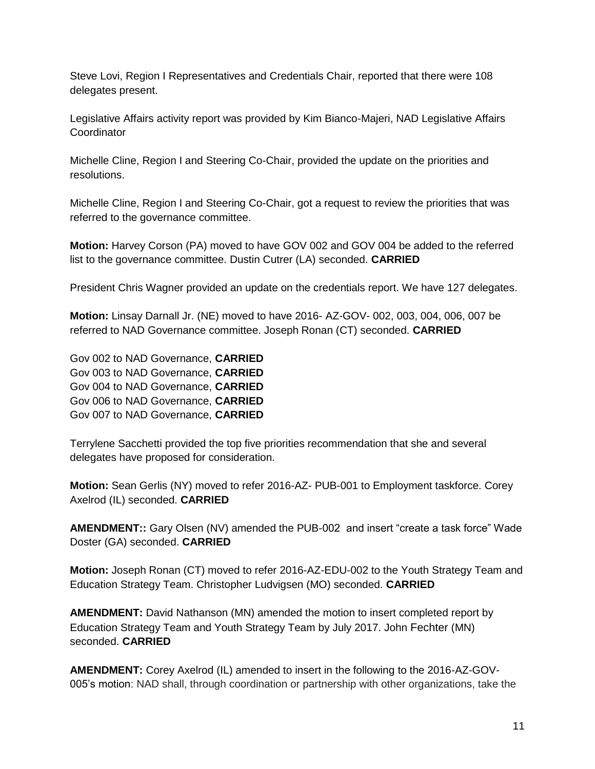Steve Lovi, Region I Representatives and Credentials Chair, reported that there were 108 delegates present.

Legislative Affairs activity report was provided by Kim Bianco-Majeri, NAD Legislative Affairs **Coordinator** 

Michelle Cline, Region I and Steering Co-Chair, provided the update on the priorities and resolutions.

Michelle Cline, Region I and Steering Co-Chair, got a request to review the priorities that was referred to the governance committee.

**Motion:** Harvey Corson (PA) moved to have GOV 002 and GOV 004 be added to the referred list to the governance committee. Dustin Cutrer (LA) seconded. **CARRIED**

President Chris Wagner provided an update on the credentials report. We have 127 delegates.

**Motion:** Linsay Darnall Jr. (NE) moved to have 2016- AZ-GOV- 002, 003, 004, 006, 007 be referred to NAD Governance committee. Joseph Ronan (CT) seconded. **CARRIED**

Gov 002 to NAD Governance, **CARRIED** Gov 003 to NAD Governance, **CARRIED** Gov 004 to NAD Governance, **CARRIED** Gov 006 to NAD Governance, **CARRIED** Gov 007 to NAD Governance, **CARRIED**

Terrylene Sacchetti provided the top five priorities recommendation that she and several delegates have proposed for consideration.

**Motion:** Sean Gerlis (NY) moved to refer 2016-AZ- PUB-001 to Employment taskforce. Corey Axelrod (IL) seconded. **CARRIED**

**AMENDMENT::** Gary Olsen (NV) amended the PUB-002 and insert "create a task force" Wade Doster (GA) seconded. **CARRIED**

**Motion:** Joseph Ronan (CT) moved to refer 2016-AZ-EDU-002 to the Youth Strategy Team and Education Strategy Team. Christopher Ludvigsen (MO) seconded. **CARRIED**

**AMENDMENT:** David Nathanson (MN) amended the motion to insert completed report by Education Strategy Team and Youth Strategy Team by July 2017. John Fechter (MN) seconded. **CARRIED**

**AMENDMENT:** Corey Axelrod (IL) amended to insert in the following to the 2016-AZ-GOV-005's motion: NAD shall, through coordination or partnership with other organizations, take the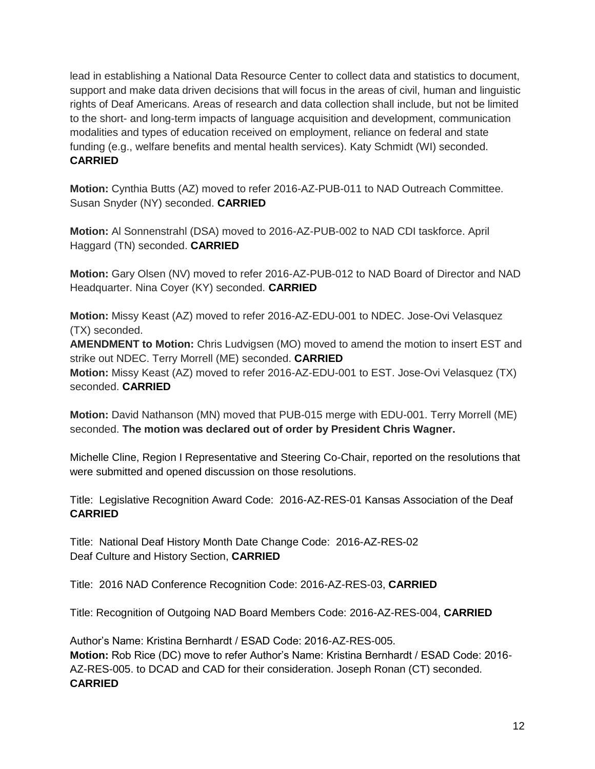lead in establishing a National Data Resource Center to collect data and statistics to document, support and make data driven decisions that will focus in the areas of civil, human and linguistic rights of Deaf Americans. Areas of research and data collection shall include, but not be limited to the short- and long-term impacts of language acquisition and development, communication modalities and types of education received on employment, reliance on federal and state funding (e.g., welfare benefits and mental health services). Katy Schmidt (WI) seconded. **CARRIED**

**Motion:** Cynthia Butts (AZ) moved to refer 2016-AZ-PUB-011 to NAD Outreach Committee. Susan Snyder (NY) seconded. **CARRIED**

**Motion:** Al Sonnenstrahl (DSA) moved to 2016-AZ-PUB-002 to NAD CDI taskforce. April Haggard (TN) seconded. **CARRIED**

**Motion:** Gary Olsen (NV) moved to refer 2016-AZ-PUB-012 to NAD Board of Director and NAD Headquarter. Nina Coyer (KY) seconded. **CARRIED**

**Motion:** Missy Keast (AZ) moved to refer 2016-AZ-EDU-001 to NDEC. Jose-Ovi Velasquez (TX) seconded.

**AMENDMENT to Motion:** Chris Ludvigsen (MO) moved to amend the motion to insert EST and strike out NDEC. Terry Morrell (ME) seconded. **CARRIED**

**Motion:** Missy Keast (AZ) moved to refer 2016-AZ-EDU-001 to EST. Jose-Ovi Velasquez (TX) seconded. **CARRIED**

**Motion:** David Nathanson (MN) moved that PUB-015 merge with EDU-001. Terry Morrell (ME) seconded. **The motion was declared out of order by President Chris Wagner.**

Michelle Cline, Region I Representative and Steering Co-Chair, reported on the resolutions that were submitted and opened discussion on those resolutions.

Title: Legislative Recognition Award Code: 2016-AZ-RES-01 Kansas Association of the Deaf **CARRIED**

Title: National Deaf History Month Date Change Code: 2016-AZ-RES-02 Deaf Culture and History Section, **CARRIED**

Title: 2016 NAD Conference Recognition Code: 2016-AZ-RES-03, **CARRIED**

Title: Recognition of Outgoing NAD Board Members Code: 2016-AZ-RES-004, **CARRIED**

Author's Name: Kristina Bernhardt / ESAD Code: 2016-AZ-RES-005. **Motion:** Rob Rice (DC) move to refer Author's Name: Kristina Bernhardt / ESAD Code: 2016- AZ-RES-005. to DCAD and CAD for their consideration. Joseph Ronan (CT) seconded. **CARRIED**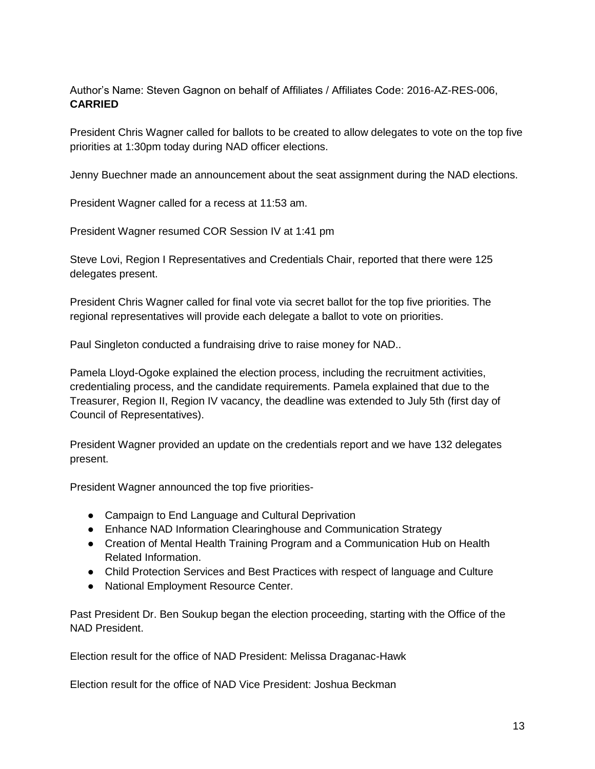Author's Name: Steven Gagnon on behalf of Affiliates / Affiliates Code: 2016-AZ-RES-006, **CARRIED**

President Chris Wagner called for ballots to be created to allow delegates to vote on the top five priorities at 1:30pm today during NAD officer elections.

Jenny Buechner made an announcement about the seat assignment during the NAD elections.

President Wagner called for a recess at 11:53 am.

President Wagner resumed COR Session IV at 1:41 pm

Steve Lovi, Region I Representatives and Credentials Chair, reported that there were 125 delegates present.

President Chris Wagner called for final vote via secret ballot for the top five priorities. The regional representatives will provide each delegate a ballot to vote on priorities.

Paul Singleton conducted a fundraising drive to raise money for NAD..

Pamela Lloyd-Ogoke explained the election process, including the recruitment activities, credentialing process, and the candidate requirements. Pamela explained that due to the Treasurer, Region II, Region IV vacancy, the deadline was extended to July 5th (first day of Council of Representatives).

President Wagner provided an update on the credentials report and we have 132 delegates present.

President Wagner announced the top five priorities-

- Campaign to End Language and Cultural Deprivation
- Enhance NAD Information Clearinghouse and Communication Strategy
- Creation of Mental Health Training Program and a Communication Hub on Health Related Information.
- Child Protection Services and Best Practices with respect of language and Culture
- National Employment Resource Center.

Past President Dr. Ben Soukup began the election proceeding, starting with the Office of the NAD President.

Election result for the office of NAD President: Melissa Draganac-Hawk

Election result for the office of NAD Vice President: Joshua Beckman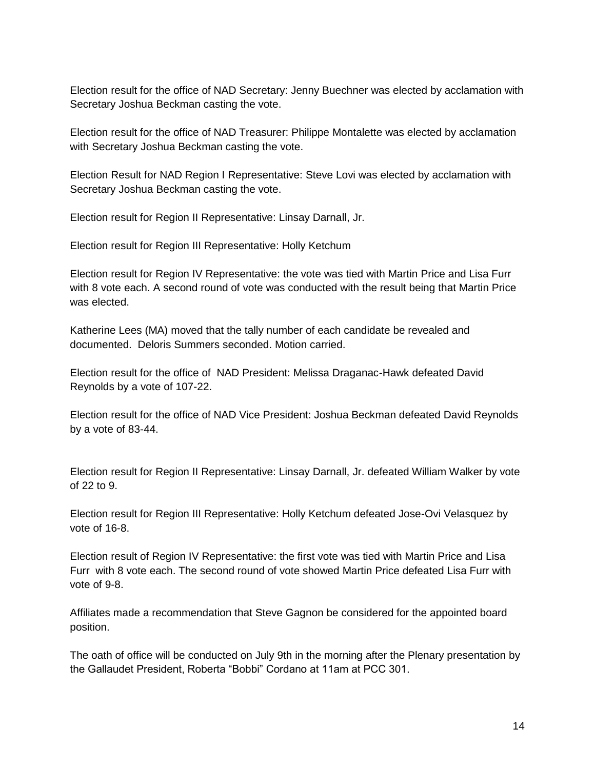Election result for the office of NAD Secretary: Jenny Buechner was elected by acclamation with Secretary Joshua Beckman casting the vote.

Election result for the office of NAD Treasurer: Philippe Montalette was elected by acclamation with Secretary Joshua Beckman casting the vote.

Election Result for NAD Region I Representative: Steve Lovi was elected by acclamation with Secretary Joshua Beckman casting the vote.

Election result for Region II Representative: Linsay Darnall, Jr.

Election result for Region III Representative: Holly Ketchum

Election result for Region IV Representative: the vote was tied with Martin Price and Lisa Furr with 8 vote each. A second round of vote was conducted with the result being that Martin Price was elected.

Katherine Lees (MA) moved that the tally number of each candidate be revealed and documented. Deloris Summers seconded. Motion carried.

Election result for the office of NAD President: Melissa Draganac-Hawk defeated David Reynolds by a vote of 107-22.

Election result for the office of NAD Vice President: Joshua Beckman defeated David Reynolds by a vote of 83-44.

Election result for Region II Representative: Linsay Darnall, Jr. defeated William Walker by vote of 22 to 9.

Election result for Region III Representative: Holly Ketchum defeated Jose-Ovi Velasquez by vote of 16-8.

Election result of Region IV Representative: the first vote was tied with Martin Price and Lisa Furr with 8 vote each. The second round of vote showed Martin Price defeated Lisa Furr with vote of 9-8.

Affiliates made a recommendation that Steve Gagnon be considered for the appointed board position.

The oath of office will be conducted on July 9th in the morning after the Plenary presentation by the Gallaudet President, Roberta "Bobbi" Cordano at 11am at PCC 301.